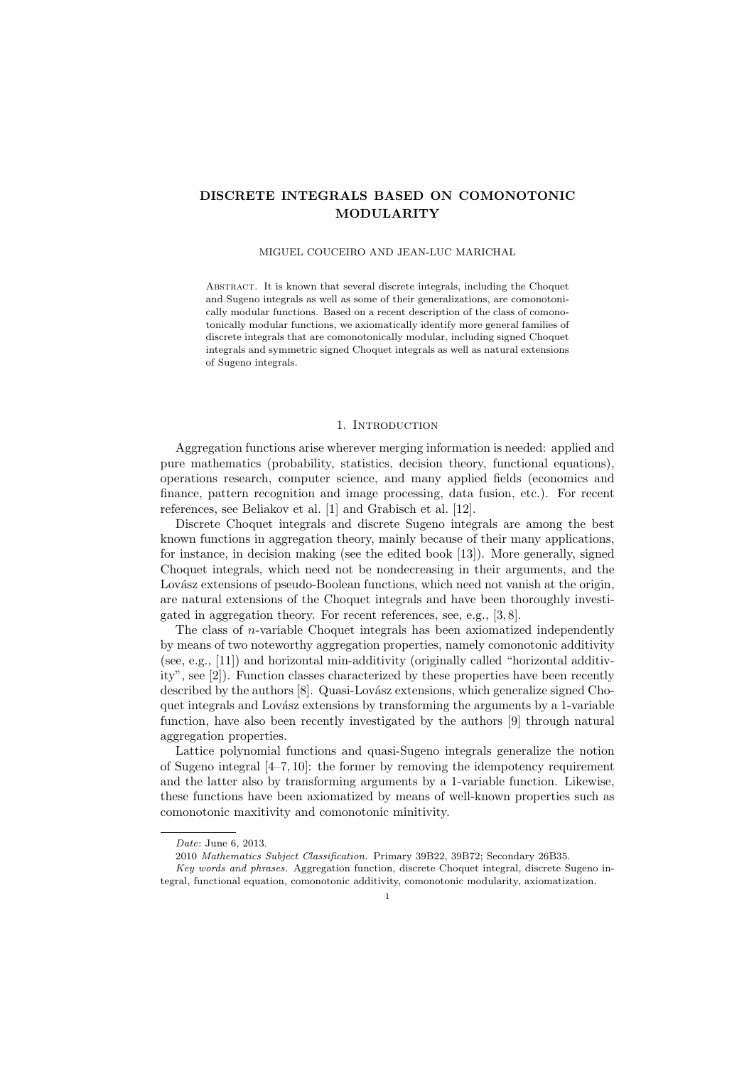# **DISCRETE INTEGRALS BASED ON COMONOTONIC MODULARITY**

### MIGUEL COUCEIRO AND JEAN-LUC MARICHAL

Abstract. It is known that several discrete integrals, including the Choquet and Sugeno integrals as well as some of their generalizations, are comonotonically modular functions. Based on a recent description of the class of comonotonically modular functions, we axiomatically identify more general families of discrete integrals that are comonotonically modular, including signed Choquet integrals and symmetric signed Choquet integrals as well as natural extensions of Sugeno integrals.

### 1. INTRODUCTION

Aggregation functions arise wherever merging information is needed: applied and pure mathematics (probability, statistics, decision theory, functional equations), operations research, computer science, and many applied fields (economics and finance, pattern recognition and image processing, data fusion, etc.). For recent references, see Beliakov et al. [1] and Grabisch et al. [12].

Discrete Choquet integrals and discrete Sugeno integrals are among the best known functions in aggregation theory, mainly because of their many applications, for instance, in decision making (see the edited book [13]). More generally, signed Choquet integrals, which need not be nondecreasing in their arguments, and the Lovász extensions of pseudo-Boolean functions, which need not vanish at the origin, are natural extensions of the Choquet integrals and have been thoroughly investigated in aggregation theory. For recent references, see, e.g., [3, 8].

The class of *n*-variable Choquet integrals has been axiomatized independently by means of two noteworthy aggregation properties, namely comonotonic additivity (see, e.g., [11]) and horizontal min-additivity (originally called "horizontal additivity", see [2]). Function classes characterized by these properties have been recently described by the authors  $[8]$ . Quasi-Lovász extensions, which generalize signed Choquet integrals and Lovász extensions by transforming the arguments by a 1-variable function, have also been recently investigated by the authors [9] through natural aggregation properties.

Lattice polynomial functions and quasi-Sugeno integrals generalize the notion of Sugeno integral [4–7, 10]: the former by removing the idempotency requirement and the latter also by transforming arguments by a 1-variable function. Likewise, these functions have been axiomatized by means of well-known properties such as comonotonic maxitivity and comonotonic minitivity.

*Date*: June 6, 2013.

<sup>2010</sup> *Mathematics Subject Classification.* Primary 39B22, 39B72; Secondary 26B35.

*Key words and phrases.* Aggregation function, discrete Choquet integral, discrete Sugeno integral, functional equation, comonotonic additivity, comonotonic modularity, axiomatization.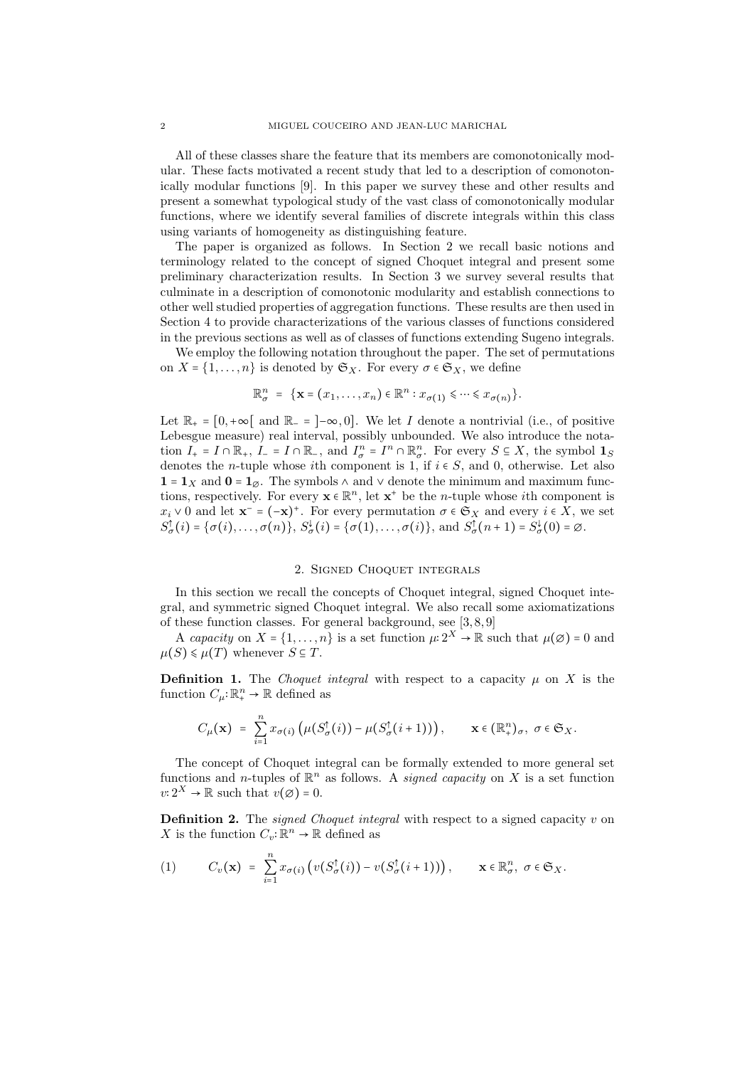All of these classes share the feature that its members are comonotonically modular. These facts motivated a recent study that led to a description of comonotonically modular functions [9]. In this paper we survey these and other results and present a somewhat typological study of the vast class of comonotonically modular functions, where we identify several families of discrete integrals within this class using variants of homogeneity as distinguishing feature.

The paper is organized as follows. In Section 2 we recall basic notions and terminology related to the concept of signed Choquet integral and present some preliminary characterization results. In Section 3 we survey several results that culminate in a description of comonotonic modularity and establish connections to other well studied properties of aggregation functions. These results are then used in Section 4 to provide characterizations of the various classes of functions considered in the previous sections as well as of classes of functions extending Sugeno integrals.

We employ the following notation throughout the paper. The set of permutations on  $X = \{1, \ldots, n\}$  is denoted by  $\mathfrak{S}_X$ . For every  $\sigma \in \mathfrak{S}_X$ , we define

$$
\mathbb{R}^n_{\sigma} = \{\mathbf{x} = (x_1, \dots, x_n) \in \mathbb{R}^n : x_{\sigma(1)} \leq \dots \leq x_{\sigma(n)}\}.
$$

Let  $\mathbb{R}_+$  = [0, +∞[ and  $\mathbb{R}_-$  = ]-∞, 0]. We let *I* denote a nontrivial (i.e., of positive Lebesgue measure) real interval, possibly unbounded. We also introduce the notation  $I_+ = I \cap \mathbb{R}_+$ ,  $I_- = I \cap \mathbb{R}_-$ , and  $I_{\sigma}^n = I^n \cap \mathbb{R}_{\sigma}^n$ . For every  $S \subseteq X$ , the symbol  $\mathbf{1}_S$  denotes the symbol whose it component is  $\mathbf{1}$ , if  $i \in S$  and 0 otherwise. Let also denotes the *n*-tuple whose *i*th component is 1, if  $i \in S$ , and 0, otherwise. Let also **1** = **1***x* and **0** = **1** $\varphi$ . The symbols ∧ and ∨ denote the minimum and maximum functions, respectively. For every  $\mathbf{x} \in \mathbb{R}^n$ , let  $\mathbf{x}^+$  be the *n*-tuple whose *i*th component is  $x_i \vee 0$  and let  $\mathbf{x}^- = (-\mathbf{x})^+$ . For every permutation  $\sigma \in \mathfrak{S}_X$  and every  $i \in X$ , we set  $S_{\sigma}^{\dagger}(i) = {\sigma(i), \ldots, \sigma(n)}$ ,  $S_{\sigma}^{\downarrow}(i) = {\sigma(1), \ldots, \sigma(i)}$ , and  $S_{\sigma}^{\dagger}(n+1) = S_{\sigma}^{\downarrow}(0) = \emptyset$ .

### 2. Signed Choquet integrals

In this section we recall the concepts of Choquet integral, signed Choquet integral, and symmetric signed Choquet integral. We also recall some axiomatizations of these function classes. For general background, see [3, 8, 9]

A *capacity* on  $X = \{1, \ldots, n\}$  is a set function  $\mu: 2^X \to \mathbb{R}$  such that  $\mu(\emptyset) = 0$  and  $\mathcal{L}' \times \mu(\mathcal{L})$  whenever  $\mathcal{L} \subset \mathcal{L}$  $\mu(S) \leq \mu(T)$  whenever  $S \subseteq T$ .

**Definition 1.** The *Choquet integral* with respect to a capacity  $\mu$  on X is the function  $C_{\mu}$ :  $\mathbb{R}^{n}_{+} \to \mathbb{R}$  defined as

$$
C_{\mu}(\mathbf{x}) = \sum_{i=1}^{n} x_{\sigma(i)} \left( \mu(S_{\sigma}^{\dagger}(i)) - \mu(S_{\sigma}^{\dagger}(i+1)) \right), \qquad \mathbf{x} \in (\mathbb{R}_{+}^{n})_{\sigma}, \ \sigma \in \mathfrak{S}_{X}.
$$

The concept of Choquet integral can be formally extended to more general set functions and *n*-tuples of  $\mathbb{R}^n$  as follows. A *signed capacity* on *X* is a set function  $v: 2^X \to \mathbb{R}$  such that  $v(\emptyset) = 0$ .

**Definition 2.** The *signed Choquet integral* with respect to a signed capacity *v* on *X* is the function  $C_v: \mathbb{R}^n \to \mathbb{R}$  defined as

(1) 
$$
C_v(\mathbf{x}) = \sum_{i=1}^n x_{\sigma(i)} \left( v(S^{\dagger}_{\sigma}(i)) - v(S^{\dagger}_{\sigma}(i+1)) \right), \qquad \mathbf{x} \in \mathbb{R}^n_{\sigma}, \ \sigma \in \mathfrak{S}_X.
$$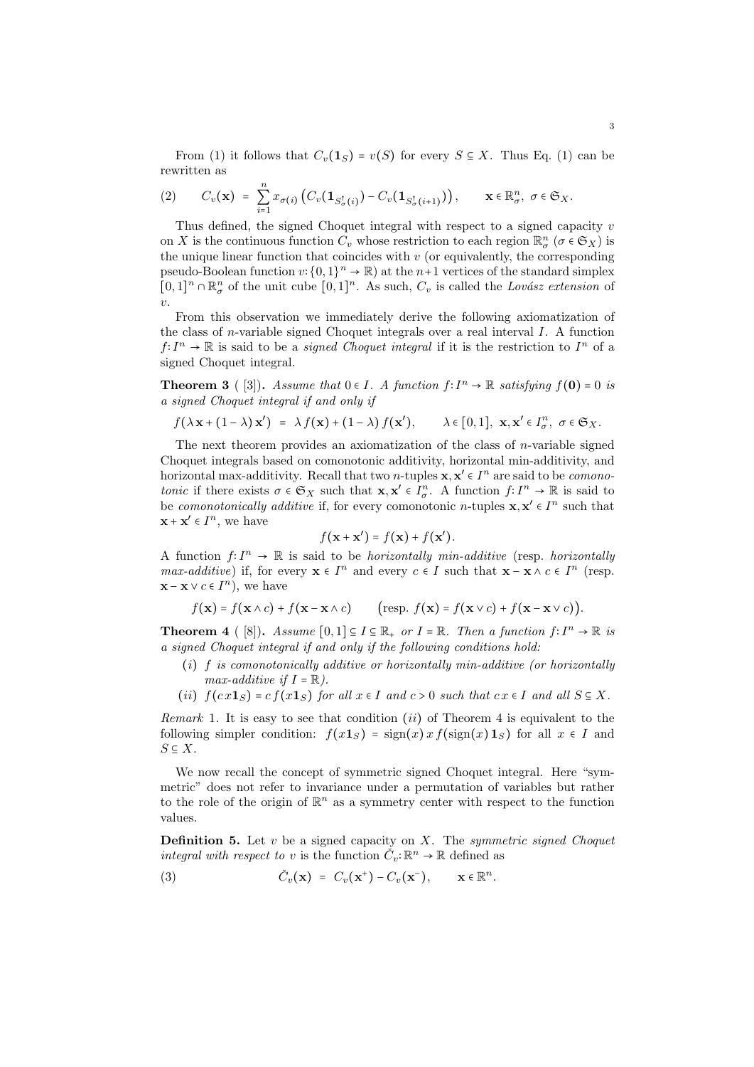From (1) it follows that  $C_v(\mathbf{1}_S) = v(S)$  for every  $S \subseteq X$ . Thus Eq. (1) can be rewritten as

$$
(2) \qquad C_v(\mathbf{x}) = \sum_{i=1}^n x_{\sigma(i)} \left( C_v(\mathbf{1}_{S^{\dagger}_{\sigma}(i)}) - C_v(\mathbf{1}_{S^{\dagger}_{\sigma}(i+1)}) \right), \qquad \mathbf{x} \in \mathbb{R}^n_{\sigma}, \; \sigma \in \mathfrak{S}_X.
$$

Thus defined, the signed Choquet integral with respect to a signed capacity *v* on *X* is the continuous function  $C_v$  whose restriction to each region  $\mathbb{R}^n$  ( $\sigma \in \mathfrak{S}_X$ ) is the unique linear function that coincides with  $\alpha$  (or equivalently the company ordinary the unique linear function that coincides with  $v$  (or equivalently, the corresponding pseudo-Boolean function *v*:  $\{0,1\}^n \to \mathbb{R}$  at the *n*+1 vertices of the standard simplex  $[0,1]^n \cap \mathbb{R}^n_\sigma$  of the unit cube  $[0,1]^n$ . As such,  $C_v$  is called the *Lovász extension* of *v*.

From this observation we immediately derive the following axiomatization of the class of *n*-variable signed Choquet integrals over a real interval *I*. A function *f*∶ *I*<sup>*n*</sup> → ℝ is said to be a *signed Choquet integral* if it is the restriction to *I*<sup>*n*</sup> of a signed Choquet integral.

**Theorem 3** ([3]). *Assume that*  $0 \in I$ *. A function*  $f: I^n \to \mathbb{R}$  *satisfying*  $f(\mathbf{0}) = 0$  *is a signed Choquet integral if and only if*

$$
f(\lambda \mathbf{x} + (1 - \lambda) \mathbf{x}') = \lambda f(\mathbf{x}) + (1 - \lambda) f(\mathbf{x}'), \qquad \lambda \in [0, 1], \mathbf{x}, \mathbf{x}' \in I^n_\sigma, \sigma \in \mathfrak{S}_X.
$$

The next theorem provides an axiomatization of the class of *n*-variable signed Choquet integrals based on comonotonic additivity, horizontal min-additivity, and horizontal max-additivity. Recall that two *n*-tuples  $\mathbf{x}, \mathbf{x}' \in I^n$  are said to be *comono-*<br>
tonic if there quints  $\mathbf{z} \in \mathbb{C}$  and that  $\mathbf{x}, \mathbf{z}' \in I^n$ . A function for  $I^n$  is good to *tonic* if there exists  $\sigma \in \mathfrak{S}_X$  such that  $\mathbf{x}, \mathbf{x}' \in I^n$ . A function  $f: I^n \to \mathbb{R}$  is said to be a summation of the summation of the summation of  $I^n$  and the summation of the summation of the summation of the s be *comonotonically additive* if, for every comonotonic *n*-tuples  $\mathbf{x}, \mathbf{x}' \in I^n$  such that  $\mathbf{x} + \mathbf{x}' \in I^n$ , we have

$$
f(\mathbf{x} + \mathbf{x}') = f(\mathbf{x}) + f(\mathbf{x}').
$$

A function  $f: I^n \to \mathbb{R}$  is said to be *horizontally min-additive* (resp. *horizontally max-additive*) if, for every  $\mathbf{x} \in I^n$  and every  $c \in I$  such that  $\mathbf{x} - \mathbf{x} \wedge c \in I^n$  (resp. **x** − **x** ∨ *c* ∈  $I<sup>n</sup>$ ), we have

$$
f(\mathbf{x}) = f(\mathbf{x} \wedge c) + f(\mathbf{x} - \mathbf{x} \wedge c) \qquad \text{(resp. } f(\mathbf{x}) = f(\mathbf{x} \vee c) + f(\mathbf{x} - \mathbf{x} \vee c)\text{)}.
$$

**Theorem 4** ([8]). *Assume*  $[0,1] \subseteq I \subseteq \mathbb{R}_+$  *or*  $I = \mathbb{R}$ *. Then a function f*:  $I^n \to \mathbb{R}$  *is a signed Choquet integral if and only if the following conditions hold:*

- (*i*) *f is comonotonically additive or horizontally min-additive (or horizontally max-additive if*  $I = \mathbb{R}$ .
- (ii)  $f(cx1<sub>S</sub>) = cf(x1<sub>S</sub>)$  for all  $x \in I$  and  $c > 0$  such that  $cx \in I$  and all  $S \subseteq X$ .

*Remark* 1*.* It is easy to see that condition (*ii*) of Theorem 4 is equivalent to the following simpler condition:  $f(x1<sub>S</sub>) = sign(x) x f(sin(x) 1<sub>S</sub>)$  for all  $x \in I$  and *<sup>S</sup>* <sup>⊆</sup> *<sup>X</sup>*.

We now recall the concept of symmetric signed Choquet integral. Here "symmetric" does not refer to invariance under a permutation of variables but rather to the role of the origin of  $\mathbb{R}^n$  as a symmetry center with respect to the function values.

**Definition 5.** Let *v* be a signed capacity on *X*. The *symmetric signed Choquet integral with respect to v* is the function  $\check{C}_v$ :  $\mathbb{R}^n \to \mathbb{R}$  defined as

(3) 
$$
\check{C}_v(\mathbf{x}) = C_v(\mathbf{x}^+) - C_v(\mathbf{x}^-), \qquad \mathbf{x} \in \mathbb{R}^n.
$$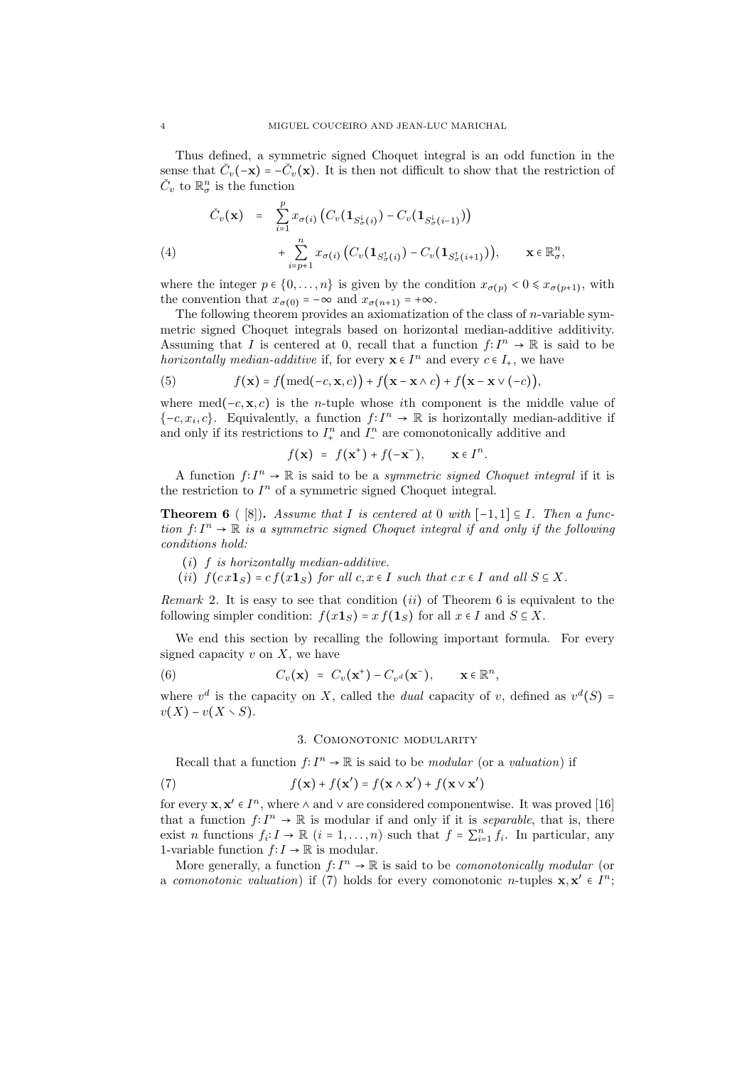Thus defined, a symmetric signed Choquet integral is an odd function in the sense that  $\check{C}_v(-\mathbf{x}) = -\check{C}_v(\mathbf{x})$ . It is then not difficult to show that the restriction of  $\check{C}_v$  to  $\mathbb{R}^n_\sigma$  is the function

$$
\tilde{C}_{v}(\mathbf{x}) = \sum_{i=1}^{p} x_{\sigma(i)} \left( C_{v}(\mathbf{1}_{S_{\sigma}^{i}(i)}) - C_{v}(\mathbf{1}_{S_{\sigma}^{i}(i-1)}) \right) + \sum_{i=p+1}^{n} x_{\sigma(i)} \left( C_{v}(\mathbf{1}_{S_{\sigma}^{i}(i)}) - C_{v}(\mathbf{1}_{S_{\sigma}^{i}(i+1)}) \right), \qquad \mathbf{x} \in \mathbb{R}_{\sigma}^{n},
$$

where the integer  $p \in \{0, \ldots, n\}$  is given by the condition  $x_{\sigma(p)} < 0 \le x_{\sigma(p+1)}$ , with the convention that  $x_{\sigma(0)} = -\infty$  and  $x_{\sigma(n+1)} = +\infty$ .

The following theorem provides an axiomatization of the class of *n*-variable symmetric signed Choquet integrals based on horizontal median-additive additivity. Assuming that *I* is centered at 0, recall that a function  $f: I^n \to \mathbb{R}$  is said to be *horizontally median-additive* if, for every  $\mathbf{x} \in I^n$  and every  $c \in I_+$ , we have

(5) 
$$
f(\mathbf{x}) = f\big(\text{med}(-c, \mathbf{x}, c)\big) + f\big(\mathbf{x} - \mathbf{x} \wedge c\big) + f\big(\mathbf{x} - \mathbf{x} \vee (-c)\big),
$$

where med( $-c$ , **x**, *c*) is the *n*-tuple whose *i*th component is the middle value of  $\{-c, x_i, c\}$ . Equivalently, a function  $f: I^n \to \mathbb{R}$  is horizontally median-additive if and only if its restrictions to  $I_+^n$  and  $I_-^n$  are comonotonically additive and

$$
f(\mathbf{x}) = f(\mathbf{x}^+) + f(-\mathbf{x}^-), \qquad \mathbf{x} \in I^n.
$$

A function  $f: I^n \to \mathbb{R}$  is said to be a *symmetric signed Choquet integral* if it is the restriction to  $I<sup>n</sup>$  of a symmetric signed Choquet integral.

**Theorem 6** ( $[8]$ ). *Assume that I is centered at* 0 *with*  $[-1,1] \subseteq I$ *. Then a function*  $f: I^n \to \mathbb{R}$  *is a symmetric signed Choquet integral if and only if the following conditions hold:*

- (*i*) *f is horizontally median-additive.*
- (*ii*)  $f(cx\mathbf{1}_S) = cf(x\mathbf{1}_S)$  *for all*  $c, x \in I$  *such that*  $cx \in I$  *and all*  $S \subseteq X$ *.*

*Remark* 2*.* It is easy to see that condition (*ii*) of Theorem 6 is equivalent to the following simpler condition:  $f(x\mathbf{1}_S) = x f(\mathbf{1}_S)$  for all  $x \in I$  and  $S \subseteq X$ .

We end this section by recalling the following important formula. For every signed capacity  $v$  on  $X$ , we have

(6) 
$$
C_v(\mathbf{x}) = C_v(\mathbf{x}^+) - C_{v^d}(\mathbf{x}^-), \qquad \mathbf{x} \in \mathbb{R}^n,
$$

where  $v^d$  is the capacity on *X*, called the *dual* capacity of *v*, defined as  $v^d(S) = v(X) - v(X \cdot S)$  $v(X) - v(X \setminus S)$ .

## 3. Comonotonic modularity

Recall that a function  $f: I^n \to \mathbb{R}$  is said to be *modular* (or a *valuation*) if

(7) 
$$
f(\mathbf{x}) + f(\mathbf{x}') = f(\mathbf{x} \wedge \mathbf{x}') + f(\mathbf{x} \vee \mathbf{x}')
$$

for every  $\mathbf{x}, \mathbf{x}' \in I^n$ , where  $\wedge$  and  $\vee$  are considered componentwise. It was proved [16] that a function  $f: I^n \to \mathbb{R}$  is modular if and only if it is *separable*, that is, there exist *n* functions  $f_i: I \to \mathbb{R}$   $(i = 1, ..., n)$  such that  $f = \sum_{i=1}^n f_i$ . In particular, any 1-variable function *<sup>f</sup>*<sup>∶</sup> *<sup>I</sup>* <sup>→</sup> <sup>R</sup> is modular.

More generally, a function  $f: I^n \to \mathbb{R}$  is said to be *comonotonically modular* (or a *comonotonic valuation*) if (7) holds for every comonotonic *n*-tuples  $\mathbf{x}, \mathbf{x}' \in \mathring{I}^n$ ;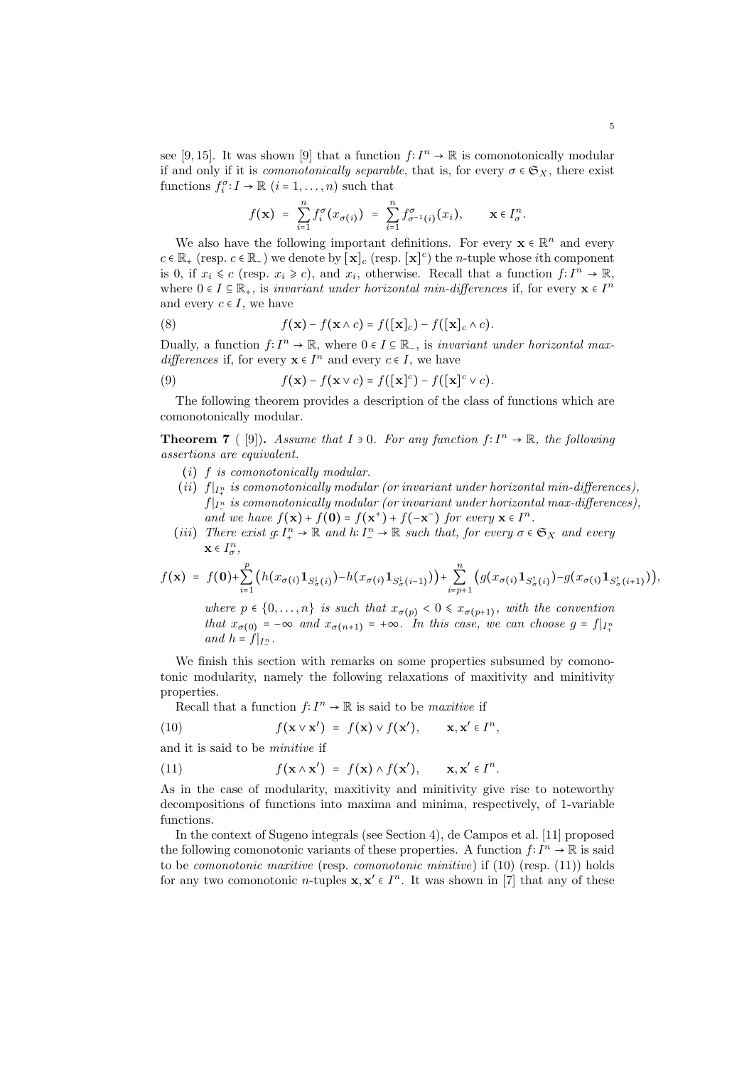see [9, 15]. It was shown [9] that a function  $f: I^n \to \mathbb{R}$  is comonotonically modular if and only if it is *comonotonically separable*, that is, for every  $\sigma \in \mathfrak{S}_X$ , there exist functions  $f_i^{\sigma}: I \to \mathbb{R}$   $(i = 1, ..., n)$  such that

$$
f(\mathbf{x}) = \sum_{i=1}^{n} f_i^{\sigma}(x_{\sigma(i)}) = \sum_{i=1}^{n} f_{\sigma^{-1}(i)}^{\sigma}(x_i), \qquad \mathbf{x} \in I_{\sigma}^{n}.
$$

We also have the following important definitions. For every  $\mathbf{x} \in \mathbb{R}^n$  and every  $\mathbb{R}^n$  (resp. e.g.  $\mathbb{R}^n$ ) we denote by [xi] (resp. [xi]<sup>c</sup>) the *n* turbs where it appropriate  $c \in \mathbb{R}_+$  (resp.  $c \in \mathbb{R}_-$ ) we denote by  $[\mathbf{x}]_c$  (resp.  $[\mathbf{x}]_c^c$ ) the *n*-tuple whose *i*<sup>th</sup> component is 0, if  $x_i \leq c$  (resp.  $x_i \geq c$ ), and  $x_i$ , otherwise. Recall that a function  $f: I^n \to \mathbb{R}$ , where  $0 \in I \subseteq \mathbb{R}_+$ , is *invariant under horizontal min-differences* if, for every  $\mathbf{x} \in I^n$ and every  $c \in I$ , we have

(8) 
$$
f(\mathbf{x}) - f(\mathbf{x} \wedge c) = f([\mathbf{x}]_c) - f([\mathbf{x}]_c \wedge c).
$$

Dually, a function  $f: I^n \to \mathbb{R}$ , where  $0 \in I \subseteq \mathbb{R}_-$ , is *invariant under horizontal max-*<br>differences if for event  $x \in I^n$  and event  $\in I$ , we have *differences* if, for every **x**  $\in$  *I*<sup>n</sup> and every *c*  $\in$  *I*, we have

(9) 
$$
f(\mathbf{x}) - f(\mathbf{x} \vee c) = f([\mathbf{x}]^c) - f([\mathbf{x}]^c \vee c).
$$

The following theorem provides a description of the class of functions which are comonotonically modular.

**Theorem 7** ( [9]). *Assume that*  $I \ni 0$ *. For any function*  $f: I^n \to \mathbb{R}$ *, the following assertions are equivalent.*

- (*i*) *f is comonotonically modular.*
- $(i)$   $f|_{I^{\textit{n}}_+}$  is comonotonically modular (or invariant under horizontal min-differences),  $f|_{I^n_\cdot}$  is comonotonically modular (or invariant under horizontal max-differences), *and we have*  $f(\mathbf{x}) + f(\mathbf{0}) = f(\mathbf{x}^+) + f(-\mathbf{x}^-)$  *for every*  $\mathbf{x} \in I^n$ .<br>There exist at  $I^n$ ,  $\mathbb{R}$  and by  $I^n$ ,  $\mathbb{R}$  and that for every  $\mathbf{x} \in I^n$ .
- (*iii*) *There exist*  $g: I_+^n \to \mathbb{R}$  *and*  $h: I_-^n \to \mathbb{R}$  *such that, for every*  $\sigma \in \mathfrak{S}_X$  *and every*  $\mathbf{x} \in I^n_{\sigma}$ ,

$$
f(\mathbf{x}) = f(\mathbf{0}) + \sum_{i=1}^p \Big( h(x_{\sigma(i)} \mathbf{1}_{S^1_{\sigma}(i)}) - h(x_{\sigma(i)} \mathbf{1}_{S^1_{\sigma}(i-1)}) \Big) + \sum_{i=p+1}^n \Big( g(x_{\sigma(i)} \mathbf{1}_{S^1_{\sigma}(i)}) - g(x_{\sigma(i)} \mathbf{1}_{S^1_{\sigma}(i+1)}) \Big),
$$

*where*  $p \in \{0, \ldots, n\}$  *is such that*  $x_{\sigma(p)} < 0 \le x_{\sigma(p+1)}$ , with the convention *that*  $x_{\sigma(0)} = -\infty$  *and*  $x_{\sigma(n+1)} = +\infty$ *. In this case, we can choose*  $g = f|_{I^{\text{max}}_+}$ *and*  $h = f|_{I_{-}^{n}}$ . −

We finish this section with remarks on some properties subsumed by comonotonic modularity, namely the following relaxations of maxitivity and minitivity properties.

Recall that a function  $f: I^n \to \mathbb{R}$  is said to be *maxitive* if

(10) 
$$
f(\mathbf{x} \vee \mathbf{x}') = f(\mathbf{x}) \vee f(\mathbf{x}'), \qquad \mathbf{x}, \mathbf{x}' \in I^n,
$$

and it is said to be *minitive* if

(11) 
$$
f(\mathbf{x} \wedge \mathbf{x}') = f(\mathbf{x}) \wedge f(\mathbf{x}'), \qquad \mathbf{x}, \mathbf{x}' \in I^n.
$$

As in the case of modularity, maxitivity and minitivity give rise to noteworthy decompositions of functions into maxima and minima, respectively, of 1-variable functions.

In the context of Sugeno integrals (see Section 4), de Campos et al. [11] proposed the following comonotonic variants of these properties. A function  $f: I<sup>n</sup> \to \mathbb{R}$  is said to be *comonotonic maxitive* (resp. *comonotonic minitive*) if (10) (resp. (11)) holds for any two comonotonic *n*-tuples  $\mathbf{x}, \mathbf{x}' \in I^n$ . It was shown in [7] that any of these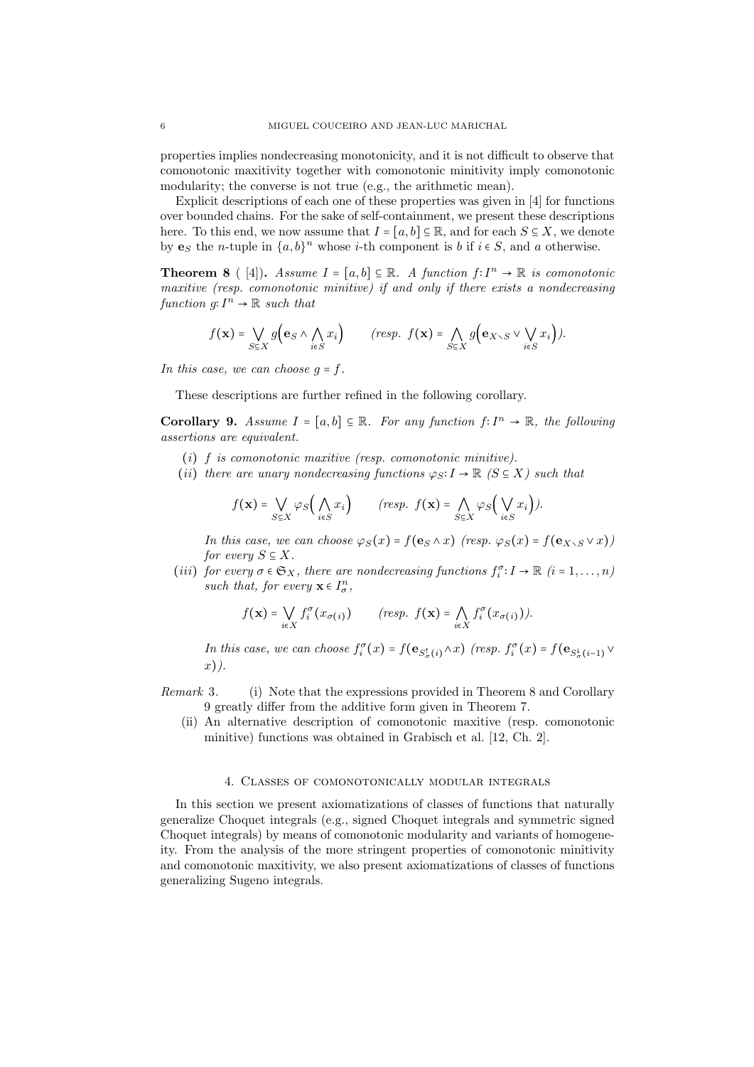properties implies nondecreasing monotonicity, and it is not difficult to observe that comonotonic maxitivity together with comonotonic minitivity imply comonotonic modularity; the converse is not true (e.g., the arithmetic mean).

Explicit descriptions of each one of these properties was given in [4] for functions over bounded chains. For the sake of self-containment, we present these descriptions here. To this end, we now assume that  $I = [a, b] \subseteq \mathbb{R}$ , and for each  $S \subseteq X$ , we denote by **e**<sub>*S*</sub> the *n*-tuple in  $\{a, b\}$ <sup>*n*</sup> whose *i*-th component is *b* if *i*  $\in$  *S*, and *a* otherwise.

**Theorem 8** ( [4]). *Assume*  $I = [a, b] \subseteq \mathbb{R}$ . *A function*  $f: I^n \to \mathbb{R}$  *is comonotonic*<br>magnitive (non-assumentants minitive) if and only if there exists a nondangasing *maxitive (resp. comonotonic minitive) if and only if there exists a nondecreasing*  $function g: I<sup>n</sup> \to \mathbb{R}$  *such that* 

$$
f(\mathbf{x}) = \bigvee_{S \subseteq X} g\Big(\mathbf{e}_S \wedge \bigwedge_{i \in S} x_i\Big) \qquad \text{(resp. } f(\mathbf{x}) = \bigwedge_{S \subseteq X} g\Big(\mathbf{e}_{X \setminus S} \vee \bigvee_{i \in S} x_i\Big)\text{)}.
$$

In this case, we can choose  $q = f$ .

These descriptions are further refined in the following corollary.

**Corollary 9.** *Assume*  $I = [a, b] \subseteq \mathbb{R}$ *. For any function*  $f: I^n \to \mathbb{R}$ *, the following assertions are equivalent.*

- (*i*) *f is comonotonic maxitive (resp. comonotonic minitive).*
- (*ii*) *there are unary nondecreasing functions*  $\varphi_S: I \to \mathbb{R}$  ( $S \subseteq X$ ) *such that*

$$
f(\mathbf{x}) = \bigvee_{S \subseteq X} \varphi_S\Big(\bigwedge_{i \in S} x_i\Big) \qquad \text{(resp. } f(\mathbf{x}) = \bigwedge_{S \subseteq X} \varphi_S\Big(\bigvee_{i \in S} x_i\Big)\text{)}.
$$

*In this case, we can choose*  $\varphi_S(x) = f(\mathbf{e}_S \wedge x)$  *(resp.*  $\varphi_S(x) = f(\mathbf{e}_{X \setminus S} \vee x)$ ) *for every*  $S \subseteq X$ *.* 

(*iii*) *for every*  $\sigma \in \mathfrak{S}_X$ *, there are nondecreasing functions*  $f_i^{\sigma}: I \to \mathbb{R}$  ( $i = 1, ..., n$ ) *such that, for every*  $\mathbf{x} \in I^n_{\sigma}$ ,

$$
f(\mathbf{x}) = \bigvee_{i \in X} f_i^{\sigma}(x_{\sigma(i)}) \qquad \text{(resp. } f(\mathbf{x}) = \bigwedge_{i \in X} f_i^{\sigma}(x_{\sigma(i)})).
$$

In this case, we can choose  $f_i^{\sigma}(x) = f(\mathbf{e}_{S_{\sigma}^{\dagger}(i)} \wedge x)$  (resp.  $f_i^{\sigma}(x) = f(\mathbf{e}_{S_{\sigma}^{\dagger}(i-1)} \vee x)$ ) *x*)*).*

- *Remark* 3*.* (i) Note that the expressions provided in Theorem 8 and Corollary 9 greatly differ from the additive form given in Theorem 7.
	- (ii) An alternative description of comonotonic maxitive (resp. comonotonic minitive) functions was obtained in Grabisch et al. [12, Ch. 2].

### 4. Classes of comonotonically modular integrals

In this section we present axiomatizations of classes of functions that naturally generalize Choquet integrals (e.g., signed Choquet integrals and symmetric signed Choquet integrals) by means of comonotonic modularity and variants of homogeneity. From the analysis of the more stringent properties of comonotonic minitivity and comonotonic maxitivity, we also present axiomatizations of classes of functions generalizing Sugeno integrals.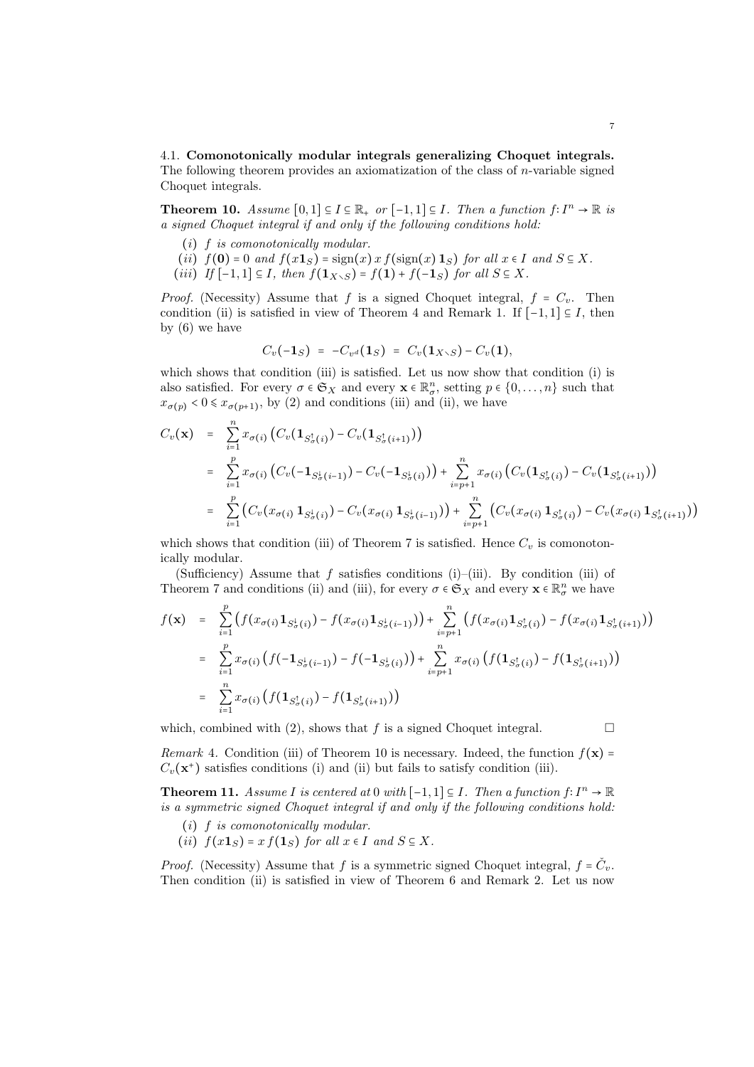4.1. **Comonotonically modular integrals generalizing Choquet integrals.** The following theorem provides an axiomatization of the class of *n*-variable signed Choquet integrals.

**Theorem 10.** *Assume*  $[0,1] \subseteq I \subseteq \mathbb{R}_+$  *or*  $[-1,1] \subseteq I$ *. Then a function f*:  $I^n \to \mathbb{R}$  *is a signed Choquet integral if and only if the following conditions hold:*

- (*i*) *f is comonotonically modular.*
- (*ii*)  $f(\mathbf{0}) = 0$  *and*  $f(x\mathbf{1}_S) = \text{sign}(x) x f(\text{sign}(x) \mathbf{1}_S)$  *for all*  $x \in I$  *and*  $S \subseteq X$ *.*
- $(iii)$  *If*  $[-1,1] \subseteq I$ *, then*  $f(\mathbf{1}_{X \setminus S}) = f(\mathbf{1}) + f(-\mathbf{1}_S)$  *for all*  $S \subseteq X$ *.*

*Proof.* (Necessity) Assume that *f* is a signed Choquet integral,  $f = C_v$ . Then condition (ii) is satisfied in view of Theorem 4 and Remark 1. If  $[-1, 1] \subseteq I$ , then by (6) we have

$$
C_v(-1_S) = -C_{v^d}(1_S) = C_v(1_{X\setminus S}) - C_v(1),
$$

which shows that condition (iii) is satisfied. Let us now show that condition (i) is also satisfied. For every  $\sigma \in \mathfrak{S}_X$  and every  $\mathbf{x} \in \mathbb{R}^n$ , setting  $p \in \{0, \ldots, n\}$  such that  $x_{\sigma(p)} < 0 \le x_{\sigma(p+1)}$ , by (2) and conditions (iii) and (ii), we have

$$
C_v(\mathbf{x}) = \sum_{i=1}^n x_{\sigma(i)} \left( C_v(\mathbf{1}_{S_{\sigma}^{\dagger}(i)}) - C_v(\mathbf{1}_{S_{\sigma}^{\dagger}(i+1)}) \right)
$$
  
\n
$$
= \sum_{i=1}^p x_{\sigma(i)} \left( C_v(-\mathbf{1}_{S_{\sigma}^{\dagger}(i-1)}) - C_v(-\mathbf{1}_{S_{\sigma}^{\dagger}(i)}) \right) + \sum_{i=p+1}^n x_{\sigma(i)} \left( C_v(\mathbf{1}_{S_{\sigma}^{\dagger}(i)}) - C_v(\mathbf{1}_{S_{\sigma}^{\dagger}(i+1)}) \right)
$$
  
\n
$$
= \sum_{i=1}^p \left( C_v(x_{\sigma(i)} \mathbf{1}_{S_{\sigma}^{\dagger}(i)}) - C_v(x_{\sigma(i)} \mathbf{1}_{S_{\sigma}^{\dagger}(i-1)}) \right) + \sum_{i=p+1}^n \left( C_v(x_{\sigma(i)} \mathbf{1}_{S_{\sigma}^{\dagger}(i)}) - C_v(x_{\sigma(i)} \mathbf{1}_{S_{\sigma}^{\dagger}(i+1)}) \right)
$$

which shows that condition (iii) of Theorem 7 is satisfied. Hence  $C_v$  is comonotonically modular.

(Sufficiency) Assume that *f* satisfies conditions (i)–(iii). By condition (iii) of Theorem 7 and conditions (ii) and (iii), for every  $\sigma \in \mathfrak{S}_X$  and every  $\mathbf{x} \in \mathbb{R}^n_{\sigma}$  we have

$$
f(\mathbf{x}) = \sum_{i=1}^{p} \left( f(x_{\sigma(i)} \mathbf{1}_{S_{\sigma(i)}^{\perp}}) - f(x_{\sigma(i)} \mathbf{1}_{S_{\sigma(i-1)}^{\perp}}) \right) + \sum_{i=p+1}^{n} \left( f(x_{\sigma(i)} \mathbf{1}_{S_{\sigma(i)}^{\perp}}) - f(x_{\sigma(i)} \mathbf{1}_{S_{\sigma(i+1)}^{\perp}}) \right)
$$
  
\n
$$
= \sum_{i=1}^{p} x_{\sigma(i)} \left( f(-\mathbf{1}_{S_{\sigma(i-1)}^{\perp}}) - f(-\mathbf{1}_{S_{\sigma(i)}^{\perp}}) \right) + \sum_{i=p+1}^{n} x_{\sigma(i)} \left( f(\mathbf{1}_{S_{\sigma(i)}^{\perp}}) - f(\mathbf{1}_{S_{\sigma(i+1)}^{\perp}}) \right)
$$
  
\n
$$
= \sum_{i=1}^{n} x_{\sigma(i)} \left( f(\mathbf{1}_{S_{\sigma(i)}^{\perp}}) - f(\mathbf{1}_{S_{\sigma(i+1)}^{\perp}}) \right)
$$

which, combined with (2), shows that  $f$  is a signed Choquet integral.

*Remark* 4. Condition (iii) of Theorem 10 is necessary. Indeed, the function  $f(\mathbf{x}) =$  $C_v(\mathbf{x}^+)$  satisfies conditions (i) and (ii) but fails to satisfy condition (iii).

**Theorem 11.** *Assume I* is centered at 0 *with*  $[-1,1] \subseteq I$ *. Then a function f*:  $I^n \to \mathbb{R}$ *is a symmetric signed Choquet integral if and only if the following conditions hold:*

- (*i*) *f is comonotonically modular.*
- (*ii*)  $f(x\mathbf{1}_S) = x f(\mathbf{1}_S)$  *for all*  $x \in I$  *and*  $S \subseteq X$ *.*

*Proof.* (Necessity) Assume that *f* is a symmetric signed Choquet integral,  $f = \check{C}_v$ .<br>Then condition (ii) is satisfied in view of Theorem 6 and Bemanle 9. Let us now Then condition (ii) is satisfied in view of Theorem 6 and Remark 2. Let us now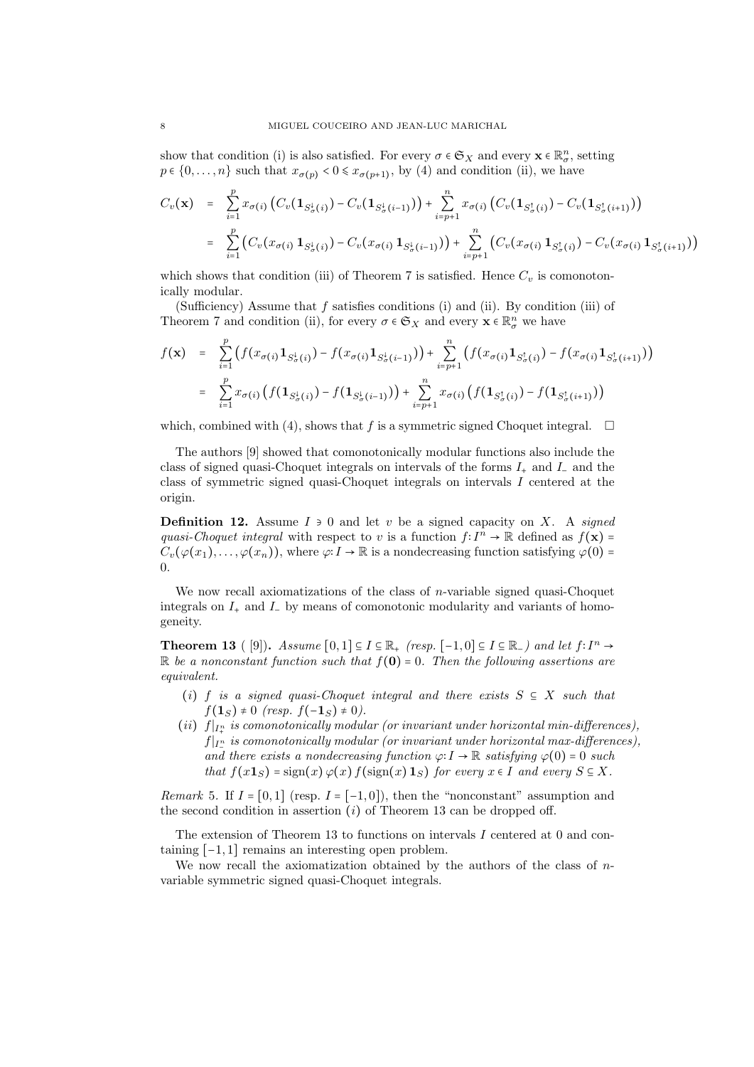show that condition (i) is also satisfied. For every  $\sigma \in \mathfrak{S}_X$  and every  $\mathbf{x} \in \mathbb{R}^n_\sigma$ , setting  $\mathfrak{so} \in \{0, \ldots, n\}$  and that  $\mathfrak{so} \in \{0, \mathcal{O} \leq n\}$  by (4) and sondition (ii) we have  $p \in \{0, ..., n\}$  such that  $x_{\sigma(p)} < 0 \le x_{\sigma(p+1)}$ , by (4) and condition (ii), we have

$$
C_v(\mathbf{x}) = \sum_{i=1}^p x_{\sigma(i)} \left( C_v(\mathbf{1}_{S^1_{\sigma}(i)}) - C_v(\mathbf{1}_{S^1_{\sigma}(i-1)}) \right) + \sum_{i=p+1}^n x_{\sigma(i)} \left( C_v(\mathbf{1}_{S^1_{\sigma}(i)}) - C_v(\mathbf{1}_{S^1_{\sigma}(i+1)}) \right)
$$
  

$$
= \sum_{i=1}^p \left( C_v(x_{\sigma(i)} \mathbf{1}_{S^1_{\sigma}(i)}) - C_v(x_{\sigma(i)} \mathbf{1}_{S^1_{\sigma}(i-1)}) \right) + \sum_{i=p+1}^n \left( C_v(x_{\sigma(i)} \mathbf{1}_{S^1_{\sigma}(i)}) - C_v(x_{\sigma(i)} \mathbf{1}_{S^1_{\sigma}(i+1)}) \right)
$$

which shows that condition (iii) of Theorem 7 is satisfied. Hence  $C_v$  is comonotonically modular.

(Sufficiency) Assume that *f* satisfies conditions (i) and (ii). By condition (iii) of Theorem 7 and condition (ii), for every  $\sigma \in \mathfrak{S}_X$  and every  $\mathbf{x} \in \mathbb{R}^n_{\sigma}$  we have

$$
f(\mathbf{x}) = \sum_{i=1}^{p} \left( f(x_{\sigma(i)} \mathbf{1}_{S_{\sigma}(i)} ) - f(x_{\sigma(i)} \mathbf{1}_{S_{\sigma}(i-1)} ) \right) + \sum_{i=p+1}^{n} \left( f(x_{\sigma(i)} \mathbf{1}_{S_{\sigma}(i)} ) - f(x_{\sigma(i)} \mathbf{1}_{S_{\sigma}(i+1)} ) \right)
$$
  
= 
$$
\sum_{i=1}^{p} x_{\sigma(i)} \left( f(\mathbf{1}_{S_{\sigma}(i)} ) - f(\mathbf{1}_{S_{\sigma}(i-1)} ) \right) + \sum_{i=p+1}^{n} x_{\sigma(i)} \left( f(\mathbf{1}_{S_{\sigma}(i)} ) - f(\mathbf{1}_{S_{\sigma}(i+1)} ) \right)
$$

which, combined with (4), shows that  $f$  is a symmetric signed Choquet integral.  $\Box$ 

The authors [9] showed that comonotonically modular functions also include the class of signed quasi-Choquet integrals on intervals of the forms *I*<sup>+</sup> and *I*<sup>−</sup> and the class of symmetric signed quasi-Choquet integrals on intervals *I* centered at the origin.

**Definition 12.** Assume *<sup>I</sup>* <sup>∋</sup> 0 and let *<sup>v</sup>* be a signed capacity on *<sup>X</sup>*. A *signed quasi-Choquet integral* with respect to *v* is a function  $f: I^n \to \mathbb{R}$  defined as  $f(\mathbf{x}) = C(\mathbf{x}(x))$ ,  $f(x) = \mathbb{R}$  is a paradomessive function satisfying  $g(0)$  $C_v(\varphi(x_1),\ldots,\varphi(x_n))$ , where  $\varphi: I \to \mathbb{R}$  is a nondecreasing function satisfying  $\varphi(0)$  = 0.

We now recall axiomatizations of the class of *n*-variable signed quasi-Choquet integrals on  $I_+$  and  $I_-$  by means of comonotonic modularity and variants of homogeneity.

**Theorem 13** ([9]). *Assume*  $[0,1] \subseteq I \subseteq \mathbb{R}_+$  *(resp.*  $[-1,0] \subseteq I \subseteq \mathbb{R}_-$ *) and let*  $f: I^n \to \mathbb{R}_+$  be a parameter function such that  $f(\Omega) = 0$ . Then the following accordions are  $\mathbb{R}$  be a nonconstant function such that  $f(\mathbf{0}) = 0$ . Then the following assertions are *equivalent.*

- (*i*) *f is a signed quasi-Choquet integral and there exists*  $S \subseteq X$  *such that f*(**1***s*) ≠ 0 *(resp. f*(−**1***s*) ≠ 0*)*.
- $(i)$   $f|_{I^{\textit{n}}_+}$  is comonotonically modular (or invariant under horizontal min-differences),  $f|_{I_1^n}$  is comonotonically modular (or invariant under horizontal max-differences), *and there exists a nondecreasing function*  $\varphi: I \to \mathbb{R}$  *satisfying*  $\varphi(0) = 0$  *such*<br>*that*  $f(x) = 0$  *sign(x)*  $f(\text{sim}(x)) = 1$  *for every g f, and every*  $S \subset Y$ *that*  $f(x\mathbf{1}_S) = \text{sign}(x) \varphi(x) f(\text{sign}(x) \mathbf{1}_S)$  *for every*  $x \in I$  *and every*  $S \subseteq X$ *.*

*Remark* 5. If  $I = [0,1]$  (resp.  $I = [-1,0]$ ), then the "nonconstant" assumption and the second condition in assertion (*i*) of Theorem 13 can be dropped off.

The extension of Theorem 13 to functions on intervals *I* centered at 0 and containing [−1*,* <sup>1</sup>] remains an interesting open problem.

We now recall the axiomatization obtained by the authors of the class of *n*variable symmetric signed quasi-Choquet integrals.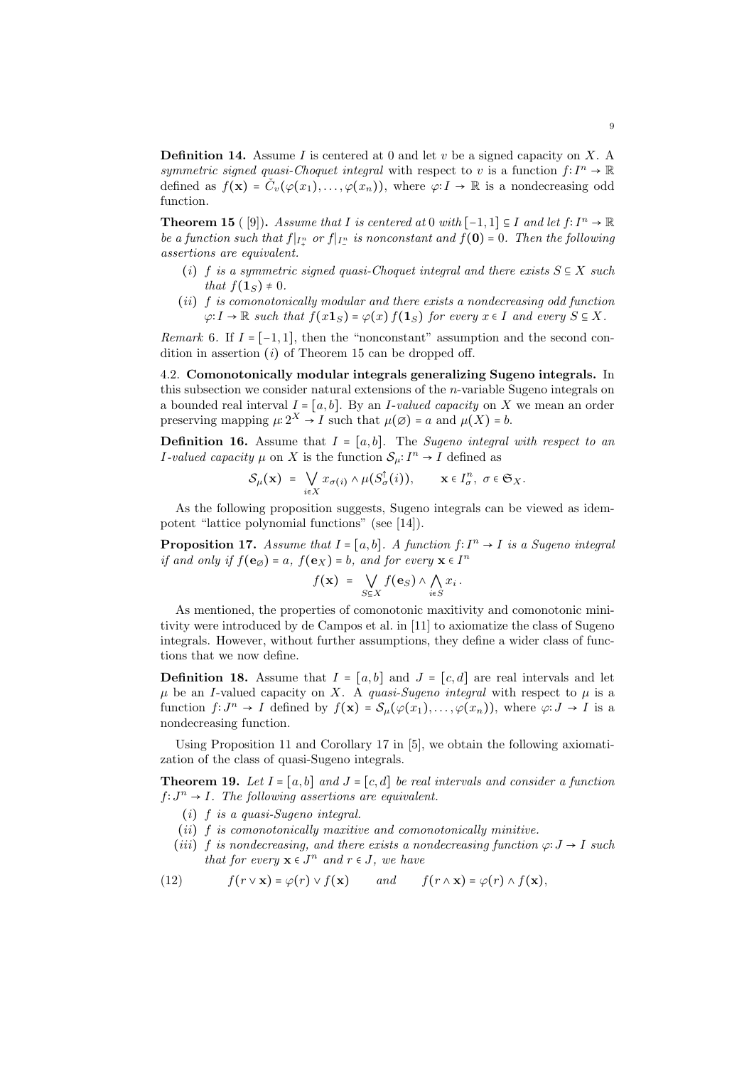**Definition 14.** Assume *I* is centered at 0 and let *v* be a signed capacity on *X*. A *symmetric signed quasi-Choquet integral* with respect to *v* is a function  $f: I^n \to \mathbb{R}$ defined as  $f(\mathbf{x}) = \tilde{C}_v(\varphi(x_1), \ldots, \varphi(x_n))$ , where  $\varphi: I \to \mathbb{R}$  is a nondecreasing odd function.

**Theorem 15** ( [9]). *Assume that I is centered at* 0 *with*  $[-1,1] \subseteq I$  *and let*  $f: I^n \to \mathbb{R}$ *be a function such that*  $f|_{I_+^n}$  *or*  $f|_{I_-^n}$  *is nonconstant and*  $f(\mathbf{0}) = 0$ *. Then the following assertions are equivalent.*

- (*i*) *f is a symmetric signed quasi-Choquet integral and there exists*  $S \subseteq X$  *such that*  $f(1_S) \neq 0$ *.*
- (*ii*) *f is comonotonically modular and there exists a nondecreasing odd function*  $\varphi: I \to \mathbb{R}$  *such that*  $f(x\mathbf{1}_S) = \varphi(x) f(\mathbf{1}_S)$  *for every*  $x \in I$  *and every*  $S \subseteq X$ *.*

*Remark* 6. If  $I = [-1, 1]$ , then the "nonconstant" assumption and the second condition in assertion (*i*) of Theorem 15 can be dropped off.

4.2. **Comonotonically modular integrals generalizing Sugeno integrals.** In this subsection we consider natural extensions of the *n*-variable Sugeno integrals on a bounded real interval  $I = [a, b]$ . By an *I-valued capacity* on *X* we mean an order preserving mapping  $\mu: 2^X \to I$  such that  $\mu(\emptyset) = a$  and  $\mu(X) = b$ .

**Definition 16.** Assume that  $I = [a, b]$ . The *Sugeno integral with respect to an I-valued capacity*  $\mu$  on *X* is the function  $S_{\mu}: I^{n} \to I$  defined as

$$
\mathcal{S}_{\mu}(\mathbf{x}) = \bigvee_{i \in X} x_{\sigma(i)} \wedge \mu(S_{\sigma}^{\dagger}(i)), \qquad \mathbf{x} \in I_{\sigma}^n, \ \sigma \in \mathfrak{S}_X.
$$

As the following proposition suggests, Sugeno integrals can be viewed as idempotent "lattice polynomial functions" (see [14]).

**Proposition 17.** *Assume that*  $I = [a, b]$ *. A function*  $f: I^n \to I$  *is a Sugeno integral if and only if*  $f(\mathbf{e}_{\emptyset}) = a$ ,  $f(\mathbf{e}_X) = b$ , and for every  $\mathbf{x} \in I^n$ 

$$
f(\mathbf{x}) = \bigvee_{S \subseteq X} f(\mathbf{e}_S) \wedge \bigwedge_{i \in S} x_i.
$$

As mentioned, the properties of comonotonic maxitivity and comonotonic minitivity were introduced by de Campos et al. in [11] to axiomatize the class of Sugeno integrals. However, without further assumptions, they define a wider class of functions that we now define.

**Definition 18.** Assume that  $I = [a, b]$  and  $J = [c, d]$  are real intervals and let  $\mu$  be an *I*-valued capacity on *X*. A *quasi-Sugeno integral* with respect to  $\mu$  is a function  $f: J^n \to I$  defined by  $f(\mathbf{x}) = \mathcal{S}_{\mu}(\varphi(x_1), \dots, \varphi(x_n))$ , where  $\varphi: J \to I$  is a nondecreasing function.

Using Proposition 11 and Corollary 17 in [5], we obtain the following axiomatization of the class of quasi-Sugeno integrals.

**Theorem 19.** Let  $I = [a, b]$  and  $J = [c, d]$  be real intervals and consider a function  $f: J^n \to I$ *. The following assertions are equivalent.* 

- (*i*) *f is a quasi-Sugeno integral.*
- (*ii*) *f is comonotonically maxitive and comonotonically minitive.*
- (*iii*) *f is nondecreasing, and there exists a nondecreasing function*  $\varphi: J \to I$  *such that for every*  $\mathbf{x} \in J^n$  *and*  $r \in J$ *, we have*

(12) 
$$
f(r \vee x) = \varphi(r) \vee f(x)
$$
 and  $f(r \wedge x) = \varphi(r) \wedge f(x)$ ,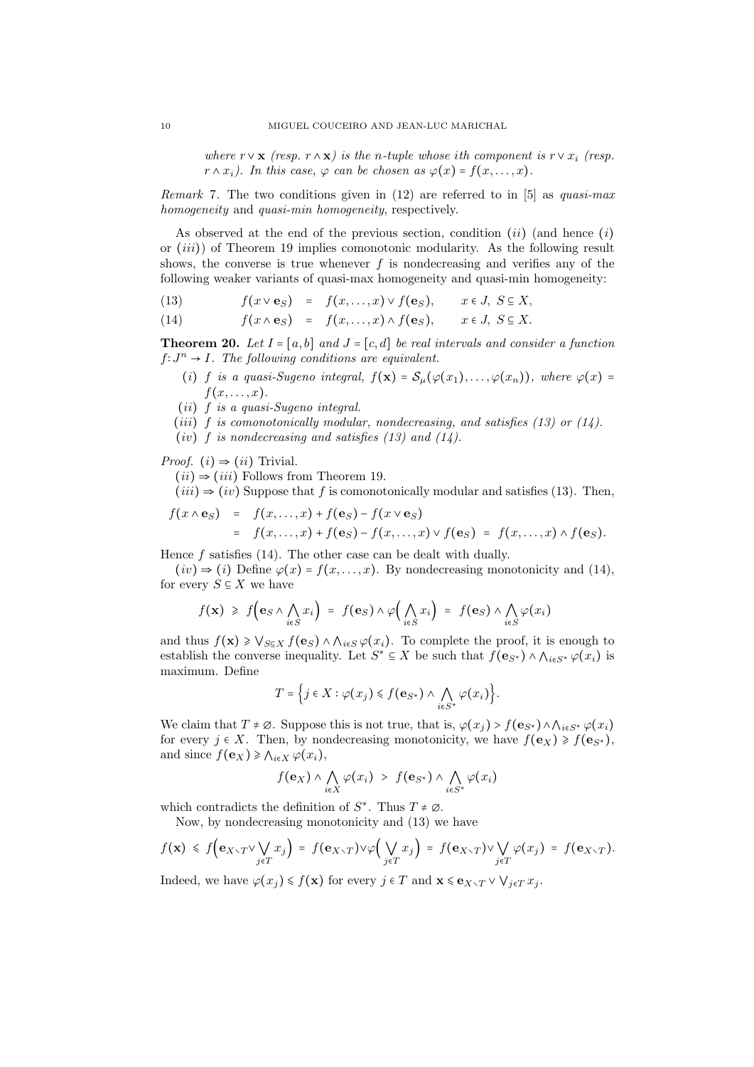*where*  $r \vee x$  *(resp.*  $r \wedge x$ *) is the n-tuple whose ith component is*  $r \vee x_i$  *(resp.*  $r \wedge x_i$ ). In this case,  $\varphi$  can be chosen as  $\varphi(x) = f(x, \ldots, x)$ .

*Remark* 7*.* The two conditions given in (12) are referred to in [5] as *quasi-max homogeneity* and *quasi-min homogeneity*, respectively.

As observed at the end of the previous section, condition (*ii*) (and hence (*i*) or (*iii*)) of Theorem 19 implies comonotonic modularity. As the following result shows, the converse is true whenever  $f$  is nondecreasing and verifies any of the following weaker variants of quasi-max homogeneity and quasi-min homogeneity:

(13)  $f(x \vee e_S) = f(x, ..., x) \vee f(e_S), \quad x \in J, S \subseteq X,$ 

(14) 
$$
f(x \wedge \mathbf{e}_S) = f(x, ..., x) \wedge f(\mathbf{e}_S), \quad x \in J, S \subseteq X.
$$

**Theorem 20.** Let  $I = [a, b]$  and  $J = [c, d]$  be real intervals and consider a function  $f: J^n \to I$ *. The following conditions are equivalent.* 

- (*i*) *f* is a quasi-Sugeno integral,  $f(\mathbf{x}) = S_u(\varphi(x_1), \ldots, \varphi(x_n))$ , where  $\varphi(x) =$  $f(x, \ldots, x)$ .
- (*ii*) *f is a quasi-Sugeno integral.*
- (*iii*) *f is comonotonically modular, nondecreasing, and satisfies (13) or (14).*
- (*iv*) *f is nondecreasing and satisfies (13) and (14).*

*Proof.*  $(i) \Rightarrow (ii)$  Trivial.

 $(ii) \Rightarrow (iii)$  Follows from Theorem 19.

 $(iii) \Rightarrow (iv)$  Suppose that *f* is comonotonically modular and satisfies (13). Then,

$$
f(x \wedge \mathbf{e}_S) = f(x, \dots, x) + f(\mathbf{e}_S) - f(x \vee \mathbf{e}_S)
$$
  
=  $f(x, \dots, x) + f(\mathbf{e}_S) - f(x, \dots, x) \vee f(\mathbf{e}_S) = f(x, \dots, x) \wedge f(\mathbf{e}_S).$ 

Hence *f* satisfies (14). The other case can be dealt with dually.

 $(iv) \Rightarrow (i)$  Define  $\varphi(x) = f(x, \ldots, x)$ . By nondecreasing monotonicity and (14), for every  $S \subseteq X$  we have

$$
f(\mathbf{x}) \geq f\Big(\mathbf{e}_S \wedge \bigwedge_{i \in S} x_i\Big) = f(\mathbf{e}_S) \wedge \varphi\Big(\bigwedge_{i \in S} x_i\Big) = f(\mathbf{e}_S) \wedge \bigwedge_{i \in S} \varphi(x_i)
$$

and thus  $f(\mathbf{x}) \geq \bigvee_{S \subseteq X} f(\mathbf{e}_S) \wedge \bigwedge_{i \in S} \varphi(x_i)$ . To complete the proof, it is enough to establish the converse inequality. Let  $S^* \subseteq X$  be such that  $f(\mathbf{e}_{S^*}) \wedge \bigwedge_{i \in S^*} \varphi(x_i)$  is maximum. Define

$$
T = \Big\{ j \in X : \varphi(x_j) \leq f(\mathbf{e}_{S^*}) \wedge \bigwedge_{i \in S^*} \varphi(x_i) \Big\}.
$$

We claim that  $T \neq \emptyset$ . Suppose this is not true, that is,  $\varphi(x_i) > f(\mathbf{e}_{S^*}) \wedge \bigwedge_{i \in S^*} \varphi(x_i)$ for every  $j \in X$ . Then, by nondecreasing monotonicity, we have  $f(\mathbf{e}_X) \geq f(\mathbf{e}_{S^*})$ , and since  $f(\mathbf{e}_X) \geq \bigwedge_{i \in X} \varphi(x_i)$ ,

$$
f(\mathbf{e}_X) \wedge \bigwedge_{i \in X} \varphi(x_i) \, > \, f(\mathbf{e}_{S^*}) \wedge \bigwedge_{i \in S^*} \varphi(x_i)
$$

which contradicts the definition of  $S^*$ . Thus  $T \neq \emptyset$ .<br>Now by nondegenering menotonicity and (12)

Now, by nondecreasing monotonicity and (13) we have

$$
f(\mathbf{x}) \leq f\Big(\mathbf{e}_{X\setminus T}\vee \bigvee_{j\in T} x_j\Big) = f(\mathbf{e}_{X\setminus T})\vee \varphi\Big(\bigvee_{j\in T} x_j\Big) = f(\mathbf{e}_{X\setminus T})\vee \bigvee_{j\in T} \varphi(x_j) = f(\mathbf{e}_{X\setminus T}).
$$

Indeed, we have  $\varphi(x_i) \leq f(\mathbf{x})$  for every  $j \in T$  and  $\mathbf{x} \leq \mathbf{e}_{X \setminus T} \vee \bigvee_{j \in T} x_j$ .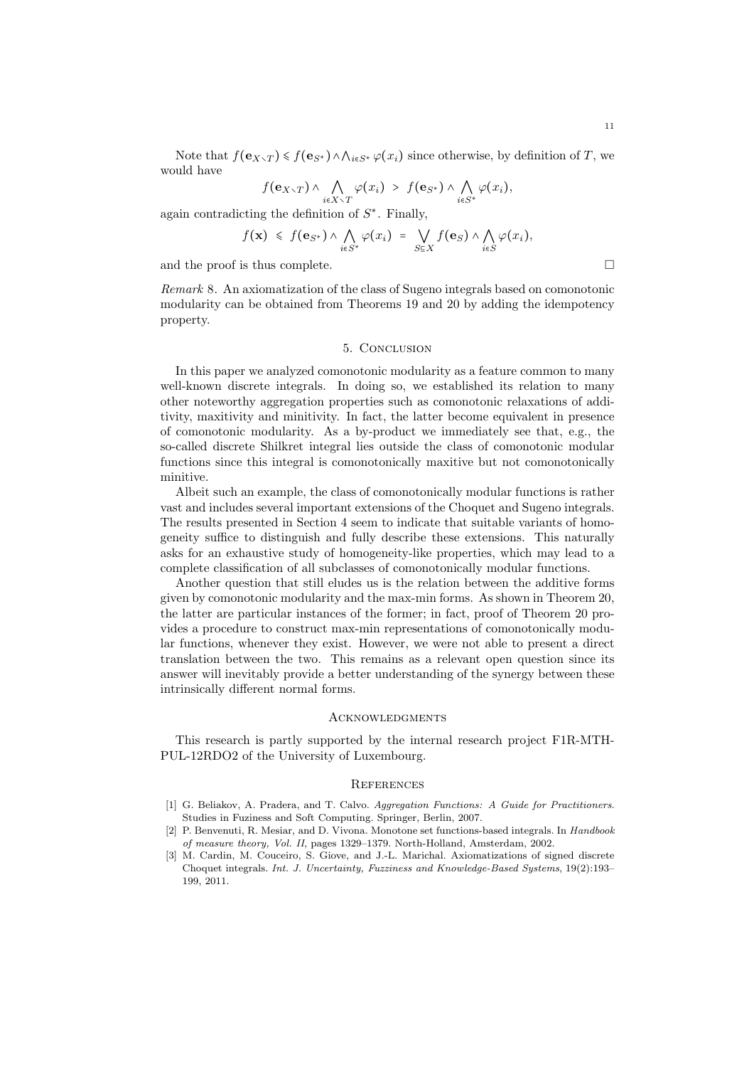Note that  $f(\mathbf{e}_{X\setminus T}) \leq f(\mathbf{e}_{S^*}) \wedge \bigwedge_{i \in S^*} \varphi(x_i)$  since otherwise, by definition of *T*, we would have

$$
f(\mathbf{e}_{X\setminus T})\wedge \bigwedge_{i\in X\setminus T}\varphi(x_i) > f(\mathbf{e}_{S^*})\wedge \bigwedge_{i\in S^*}\varphi(x_i),
$$

again contradicting the definition of  $S^*$ . Finally,

$$
f(\mathbf{x}) \leq f(\mathbf{e}_{S^*}) \wedge \bigwedge_{i \in S^*} \varphi(x_i) = \bigvee_{S \subseteq X} f(\mathbf{e}_S) \wedge \bigwedge_{i \in S} \varphi(x_i),
$$

and the proof is thus complete.  $\Box$ 

*Remark* 8*.* An axiomatization of the class of Sugeno integrals based on comonotonic modularity can be obtained from Theorems 19 and 20 by adding the idempotency property.

### 5. Conclusion

In this paper we analyzed comonotonic modularity as a feature common to many well-known discrete integrals. In doing so, we established its relation to many other noteworthy aggregation properties such as comonotonic relaxations of additivity, maxitivity and minitivity. In fact, the latter become equivalent in presence of comonotonic modularity. As a by-product we immediately see that, e.g., the so-called discrete Shilkret integral lies outside the class of comonotonic modular functions since this integral is comonotonically maxitive but not comonotonically minitive.

Albeit such an example, the class of comonotonically modular functions is rather vast and includes several important extensions of the Choquet and Sugeno integrals. The results presented in Section 4 seem to indicate that suitable variants of homogeneity suffice to distinguish and fully describe these extensions. This naturally asks for an exhaustive study of homogeneity-like properties, which may lead to a complete classification of all subclasses of comonotonically modular functions.

Another question that still eludes us is the relation between the additive forms given by comonotonic modularity and the max-min forms. As shown in Theorem 20, the latter are particular instances of the former; in fact, proof of Theorem 20 provides a procedure to construct max-min representations of comonotonically modular functions, whenever they exist. However, we were not able to present a direct translation between the two. This remains as a relevant open question since its answer will inevitably provide a better understanding of the synergy between these intrinsically different normal forms.

### **ACKNOWLEDGMENTS**

This research is partly supported by the internal research project F1R-MTH-PUL-12RDO2 of the University of Luxembourg.

#### **REFERENCES**

- [1] G. Beliakov, A. Pradera, and T. Calvo. *Aggregation Functions: A Guide for Practitioners*. Studies in Fuziness and Soft Computing. Springer, Berlin, 2007.
- [2] P. Benvenuti, R. Mesiar, and D. Vivona. Monotone set functions-based integrals. In *Handbook of measure theory, Vol. II*, pages 1329–1379. North-Holland, Amsterdam, 2002.
- [3] M. Cardin, M. Couceiro, S. Giove, and J.-L. Marichal. Axiomatizations of signed discrete Choquet integrals. *Int. J. Uncertainty, Fuzziness and Knowledge-Based Systems*, 19(2):193– 199, 2011.